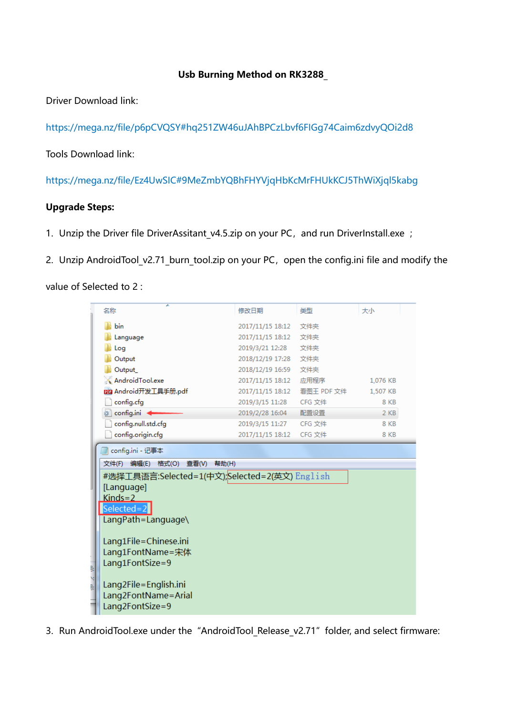## **Usb Burning Method on RK3288\_**

Driver Download link:

https://mega.nz/file/p6pCVQSY#hq251ZW46uJAhBPCzLbvf6FIGg74Caim6zdvyQOi2d8

Tools Download link:

https://mega.nz/file/Ez4UwSIC#9MeZmbYQBhFHYVjqHbKcMrFHUkKCJ5ThWiXjql5kabg

## **Upgrade Steps:**

- 1. Unzip the Driver file DriverAssitant v4.5.zip on your PC, and run DriverInstall.exe ;
- 2. Unzip AndroidTool\_v2.71\_burn\_tool.zip on your PC, open the config.ini file and modify the

value of Selected to 2 :

|    | ≖<br>名称                                       | 修改日期                   | 类型         | 大小       |  |
|----|-----------------------------------------------|------------------------|------------|----------|--|
|    | bin                                           | 2017/11/15 18:12       | 文件夹        |          |  |
|    | Language                                      | 2017/11/15 18:12       | 文件夹        |          |  |
|    | Log                                           | 2019/3/21 12:28        | 文件夹        |          |  |
|    | Output                                        | 2018/12/19 17:28       | 文件夹        |          |  |
|    | Output                                        | 2018/12/19 16:59       | 文件夹        |          |  |
|    | AndroidTool.exe                               | 2017/11/15 18:12       | 应用程序       | 1,076 KB |  |
|    | mm Android开发工具手册.pdf                          | 2017/11/15 18:12       | 看图王 PDF 文件 | 1,507 KB |  |
|    | config.cfg                                    | 2019/3/15 11:28 CFG 文件 |            | 8 KB     |  |
|    | config.ini                                    | 2019/2/28 16:04        | 配置设置       | 2 KB     |  |
|    | config.null.std.cfg                           | 2019/3/15 11:27        | CFG 文件     | 8 KB     |  |
|    | config.origin.cfg                             | 2017/11/15 18:12       | CFG 文件     | 8 KB     |  |
|    |                                               |                        |            |          |  |
|    | config.ini - 记事本                              |                        |            |          |  |
|    |                                               |                        |            |          |  |
|    | 格式(O) 查看(V)<br>文件(F)<br>编辑(E)<br>帮助(H)        |                        |            |          |  |
|    | #选择工具语言:Selected=1(中文);Selected=2(英文) English |                        |            |          |  |
|    | [Language]                                    |                        |            |          |  |
|    | $King = 2$                                    |                        |            |          |  |
|    | Selected= $2$                                 |                        |            |          |  |
|    | LangPath=Language\                            |                        |            |          |  |
|    |                                               |                        |            |          |  |
|    | Lang1File=Chinese.ini                         |                        |            |          |  |
|    | Lang1FontName=宋体                              |                        |            |          |  |
| ). | Lang1FontSize=9                               |                        |            |          |  |
| M  |                                               |                        |            |          |  |
| ). | Lang2File=English.ini                         |                        |            |          |  |
|    | Lang2FontName=Arial<br>Lang2FontSize=9        |                        |            |          |  |

3. Run AndroidTool.exe under the "AndroidTool Release v2.71" folder, and select firmware: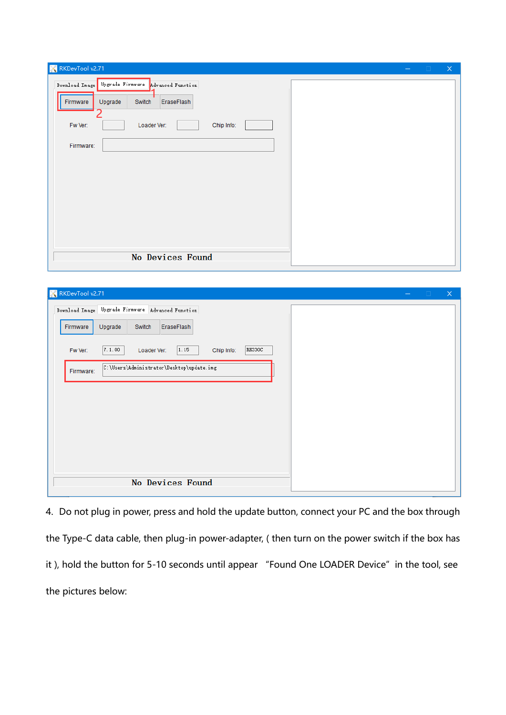| RKDevTool v2.71                                                                                                                                       |  | $\times$ |
|-------------------------------------------------------------------------------------------------------------------------------------------------------|--|----------|
| Download Image Upgrade Firmware Advanced Function<br>Upgrade<br>Switch<br>EraseFlash<br>Firmware<br>Fw Ver:<br>Chip Info:<br>Loader Ver:<br>Firmware: |  |          |
| No Devices Found                                                                                                                                      |  |          |

| RKDevTool v2.71                                                  |  | $\times$ |
|------------------------------------------------------------------|--|----------|
| Download Image Upgrade Firmware Advanced Function                |  |          |
| EraseFlash<br>Upgrade<br>Switch<br>Firmware                      |  |          |
| 7.1.00<br>1.15<br>RK330C<br>Fw Ver:<br>Loader Ver:<br>Chip Info: |  |          |
| C:\Users\Administrator\Desktop\update.img<br>Firmware:           |  |          |
|                                                                  |  |          |
|                                                                  |  |          |
|                                                                  |  |          |
|                                                                  |  |          |
| No Devices Found                                                 |  |          |

4. Do not plug in power, press and hold the update button, connect your PC and the box through the Type-C data cable, then plug-in power-adapter, ( then turn on the power switch if the box has it ), hold the button for 5-10 seconds until appear "Found One LOADER Device" in the tool, see the pictures below: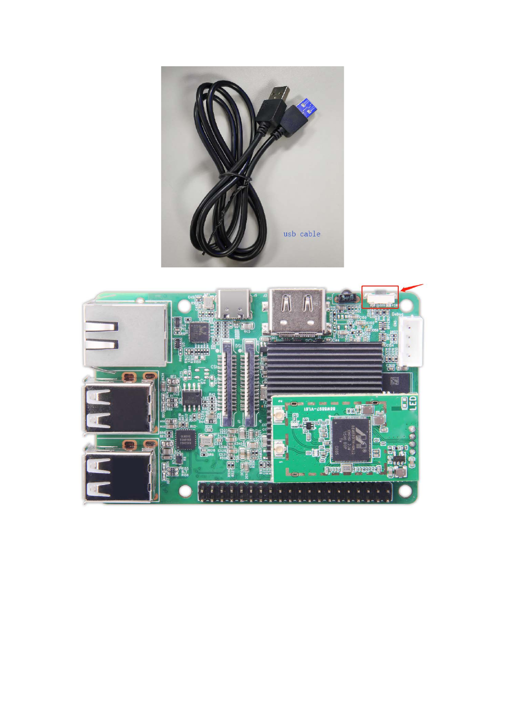

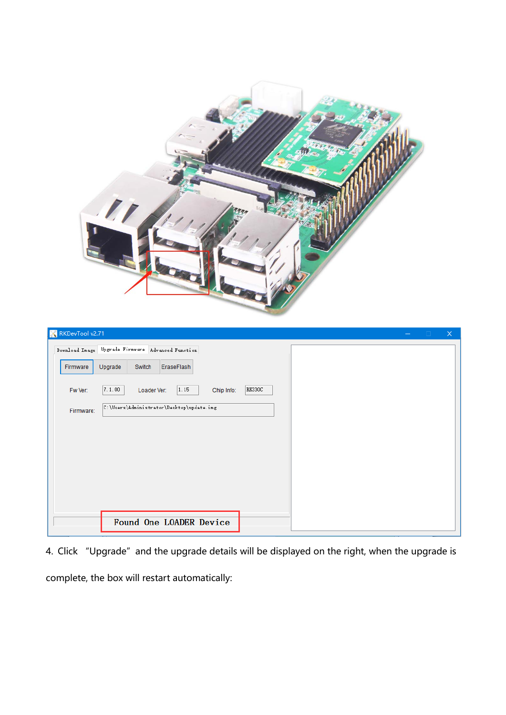| $\ell$<br>RKDevTool v2.71<br>$\times$<br>$\overline{\phantom{m}}$ |
|-------------------------------------------------------------------|
| Download Image Upgrade Firmware Advanced Function                 |
| Firmware<br>Upgrade<br>Switch<br>EraseFlash                       |
| 7.1.00<br>1.15<br>RK330C<br>Fw Ver:<br>Loader Ver:<br>Chip Info:  |
| C:\Users\Administrator\Desktop\update.img<br>Firmware:            |
| Found One LOADER Device                                           |
|                                                                   |

4. Click "Upgrade" and the upgrade details will be displayed on the right, when the upgrade is complete, the box will restart automatically: